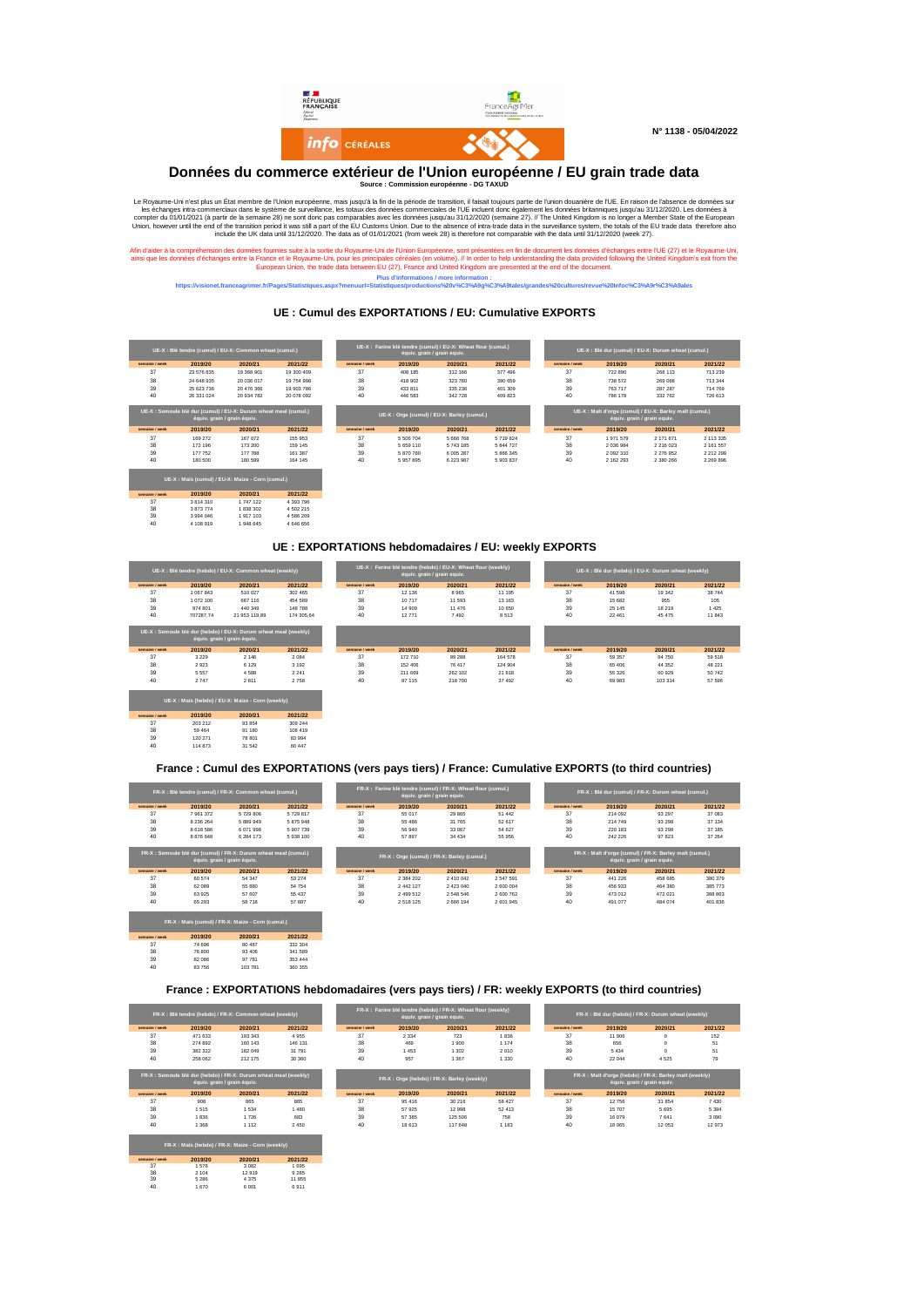

#### **Données du commerce extérieur de l'Union européenne / EU grain trade data Source : Commission européenne - DG TAXUD**

Le Royaume-Uni rest plus un fact membre de IU hoin européenne, mais jusqu'à la fin de la période de transition, il faisait toujours partie de l'Union, lowerer de l'Union européenne, mais jusqu'à la fin de la performe de la

Afin d'aider à la compréhension des données fournies suite à la sortie du Royaume-Uni de l'Union Européenne, sont présentées en fin de document les données d'échanges entre l'UE (27) et le Royaume-Uni, entre la la conserv

**Plus d'informations / more information : https://visionet.franceagrimer.fr/Pages/Statistiques.aspx?menuurl=Statistiques/productions%20v%C3%A9g%C3%A9tales/grandes%20cultures/revue%20Infoc%C3%A9r%C3%A9ales**

## **UE : Cumul des EXPORTATIONS / EU: Cumulative EXPORTS**

|                | UE-X : Blé tendre (cumul) / EU-X: Common wheat (cumul.)          |                             |               |                |                                            | UE-X : Farine blé tendre (cumul) / EU-X: Wheat flour (cumul.<br>équiv. grain / grain equiv. |
|----------------|------------------------------------------------------------------|-----------------------------|---------------|----------------|--------------------------------------------|---------------------------------------------------------------------------------------------|
| semaine / week | 2019/20                                                          | 2020/21                     | 2021/22       | semaine / week | 2019/20                                    | 2020/21                                                                                     |
| 37             | 23 576 835                                                       | 19 368 901                  | 19 300 409    | 37             | 408 185                                    | 312 166                                                                                     |
| 38             | 24 648 935                                                       | 20 036 017                  | 19 754 998    | 38             | 418 902                                    | 323 760                                                                                     |
| 39             | 25 623 736                                                       | 20 476 366                  | 19 903 786    | 39             | 433 811                                    | 335 236                                                                                     |
| 40             | 26 331 024                                                       | 20 934 782                  | 20 078 092    | 40             | 446 583                                    | 342 728                                                                                     |
|                | UE-X : Semoule blé dur (cumul) / EU-X: Durum wheat meal (cumul.) | équiv. grain / grain équiv. |               |                | UE-X: Orge (cumul) / EU-X: Barley (cumul.) |                                                                                             |
| semaine / week | 2019/20                                                          | 2020/21                     | 2021/22       | semaine / week | 2019/20                                    | 2020/21                                                                                     |
| 37             | 169 272                                                          | 167 072                     | 155 953       | 37             | 5 506 704                                  | 5 666 768                                                                                   |
| 38             | 172 196                                                          | 173 200                     | 159 145       | 38             | 5 659 110                                  | 5 743 185                                                                                   |
| 39             | 177 752                                                          | 177 788                     | 161 387       | 39             | 5 870 780                                  | 6 005 287                                                                                   |
| 40             | 180 500                                                          | 180 599                     | 164 145       | 40             | 5957895                                    | 6 223 987                                                                                   |
|                | UE-X : Maïs (cumul) / EU-X: Maize - Corn (cumul.)                |                             |               |                |                                            |                                                                                             |
| semaine / week | 2019/20                                                          | 2020/21                     | 2021/22       |                |                                            |                                                                                             |
| 37             | 3 8 1 4 3 1 0                                                    | 1747122                     | 4 3 9 3 7 9 6 |                |                                            |                                                                                             |
| 38             | 3 873 774                                                        | 1 838 302                   | 4 502 215     |                |                                            |                                                                                             |
| 39             | 3 9 9 4 0 4 6                                                    | 1917 103                    | 4 586 209     |                |                                            |                                                                                             |
| 40             | 4 108 919                                                        | 1948 645                    | 4 646 656     |                |                                            |                                                                                             |

|                | UE-X : Blé tendre (cumul) / EU-X: Common wheat (cumul.) |                                                                                |            |                | équiv, grain / grain equiv, | ▖▚▘▀▀▞▞▞▖▏▏▓▝▕▝▌▋▌▘▞▖▚▝░▓▚▚▚▘▋▖▚▝▐▏▚▚▚▚▎▌▌▚▝▗▚▎▌▌▌▞▏▌▛▓▓ <del>▝▀▖▘▓▛▗▞▛▓▏▙▗▊▐▏▚▝▞▝▝▕▊▐▏▙▝▞▚▝▏</del> ▊▋▚▝▞▚▝▏▌▛▛▟▏ |           | UE-X : Blé dur (cumul) / EU-X: Durum wheat (cumul.) |                                                        |                             |  |  |
|----------------|---------------------------------------------------------|--------------------------------------------------------------------------------|------------|----------------|-----------------------------|-------------------------------------------------------------------------------------------------------------------|-----------|-----------------------------------------------------|--------------------------------------------------------|-----------------------------|--|--|
| semaine / week | 2019/20                                                 | 2020/21                                                                        | 2021/22    | semaine / week | 2019/20                     | 2020/21                                                                                                           | 2021/22   | semaine / week                                      | 2019/20                                                | 2020/21                     |  |  |
| 37             | 23 576 835                                              | 19 368 901                                                                     | 19 300 409 | 37             | 408 185                     | 312 166                                                                                                           | 377 496   | 37                                                  | 722 890                                                | 268 113                     |  |  |
| 38             | 24 648 935                                              | 20 036 017                                                                     | 19 754 998 | 38             | 418 902                     | 323 760                                                                                                           | 390 659   | 38                                                  | 738 572                                                | 269 068                     |  |  |
| 39             | 25 623 736                                              | 20 476 366                                                                     | 19 903 786 | 39             | 433 811                     | 335 236                                                                                                           | 401 309   | 39                                                  | 763 717                                                | 287 287                     |  |  |
|                |                                                         |                                                                                |            |                |                             |                                                                                                                   |           |                                                     | 786 178                                                | 332 762                     |  |  |
| 40             | 26 331 024<br>équiv, grain / grain équiv,               | 20 934 782<br>UE-X : Semoule blé dur (cumul) / EU-X: Durum wheat meal (cumul.) | 20 078 092 | 40             | 446 583                     | 342 728<br>UE-X: Orge (cumul) / EU-X: Barley (cumul.)                                                             | 409 823   | 40                                                  | UE-X: Malt d'orge (cumul) / EU-X: Barley malt (cumul.) | équiv, grain / grain equiv. |  |  |
|                |                                                         |                                                                                |            |                |                             |                                                                                                                   |           |                                                     |                                                        |                             |  |  |
| semaine / week | 2019/20                                                 | 2020/21                                                                        | 2021/22    | semaine / week | 2019/20                     | 2020/21                                                                                                           | 2021/22   | semaine / week                                      | 2019/20                                                | 2020/21                     |  |  |
| 37             | 169 272                                                 | 167 072                                                                        | 155 953    | 37             | 5 506 704                   | 5 6 6 7 6 8                                                                                                       | 5719824   | 37                                                  | 1971579                                                | 2 171 671                   |  |  |
| 38             | 172 196                                                 | 173 200                                                                        | 159 145    | 38             | 5 659 110                   | 5 743 185                                                                                                         | 5 844 727 | 38                                                  | 2 0 3 6 9 8 4                                          | 2 216 023                   |  |  |
| 39             | 177 752                                                 | 177 788                                                                        | 161 387    | 39             | 5 870 780                   | 6 005 287                                                                                                         | 5 866 345 | 39                                                  | 2 092 310                                              | 2 276 952                   |  |  |

# **UE : EXPORTATIONS hebdomadaires / EU: weekly EXPORTS UE-X : Farine blé tendre (hebdo) / EU-X: Wheat flour (weekly)**<br>équiv. grain / grain equiv.

|                |           | UE-X : Blé tendre (hebdo) / EU-X: Common wheat (weekly)                                         |                |
|----------------|-----------|-------------------------------------------------------------------------------------------------|----------------|
| semaine / week | 2019/20   | 2020/21                                                                                         | 2021/22        |
| 37             | 1 067 843 | 510.027                                                                                         | 302 465        |
| 38             | 1 072 100 | 667 116                                                                                         | 454 589        |
| 39             | 974 801   | 440 349                                                                                         | <b>148 788</b> |
| 40             |           | 707287.74 21 953 119.89                                                                         | 174 305.64     |
|                |           | UE-X : Semoule blé dur (hebdo) / EU-X: Durum wheat meal (weekly)<br>équiv. grain / grain équiv. |                |
| semaine / week | 2019/20   | 2020/21                                                                                         | 2021/22        |
| 37             | 3 2 2 9   | 2 1 4 6                                                                                         | 2.084          |
| 38             | 2.923     | 6 1 2 9                                                                                         | 3 1 9 2        |
| 39             | 5.557     | 4.588                                                                                           | 2.241          |
| 40             | 2747      | 2811                                                                                            | 2758           |
|                |           | UE-X: Maïs (hebdo) / EU-X: Maize - Corn (weekly)                                                |                |
| semaine / week | 2019/20   | 2020/21                                                                                         | 2021/22        |
| 37             | 203 212   | 93 854                                                                                          | 309 244        |
| 38             | 59 464    | 91 180                                                                                          | 108 419        |
| 39             | 120 271   | 78 801                                                                                          | 83 994         |
| 40             | 114873    | 31.542                                                                                          | 60 447         |

37 74 696 80 487 332 304 38 76 800 93 406 341 589 39 82 086 97 781 353 444 40 83 756 103 781 360 355

**semaine/week 2019/20 2020/21 2021/22**<br>37 1 576 3 082 1 695<br>38 2 104 12 919 9 285<br>39 5 286 4 375 11 855 2019/20 2020/21 2021/22<br>1576 3082 1695<br>5286 4375 11855<br>1670 6001 6911

| semaine / week | 2019/20   | 2020/21                                                          | 2021/22    | semaine / week | 2019/20 | 2020/21  | 2021/22 | semaine / week |
|----------------|-----------|------------------------------------------------------------------|------------|----------------|---------|----------|---------|----------------|
| 37             | 1067843   | 510 027                                                          | 302 465    | 37             | 12 13 6 | 8965     | 11 195  | 37             |
| 38             | 1072 100  | 667 116                                                          | 454 589    | 38             | 10717   | 11 5 9 3 | 13 163  | 38             |
| 39             | 974 801   | 440 349                                                          | 148 788    | 39             | 14 909  | 11 476   | 10 650  | 39             |
| 40             | 707287.74 | 21 953 119.89                                                    | 174 305.64 | 40             | 12771   | 7492     | 8 5 1 3 | 40             |
|                |           | UE-X : Semoule blé dur (hebdo) / EU-X: Durum wheat meal (weekly) |            |                |         |          |         |                |
|                |           | équiv. grain / grain équiv.                                      |            |                |         |          |         |                |
| semaine / week | 2019/20   | 2020/21                                                          | 2021/22    | semaine / week | 2019/20 | 2020/21  | 2021/22 | semaine / week |
| 37             | 3 2 2 9   | 2 1 4 6                                                          | 2 0 8 4    | 37             | 172 710 | 99 288   | 164 578 | 37             |
| 38             | 2923      | 6 1 2 9                                                          | 3 1 9 2    | 38             | 152 406 | 76 417   | 124 904 | 38             |
| 39             | 5 5 5 7   | 4588                                                             | 2 2 4 1    | 39             | 211 669 | 262 102  | 21 618  | 39             |
| 40             | 2747      | 2811                                                             | 2758       | 40             | 87 115  | 218 700  | 37 492  | 40             |
|                |           |                                                                  |            |                |         |          |         |                |
|                |           | HF-X · Mais (hebdo) / FILY: Maize - Corn (weekly)                |            |                |         |          |         |                |

## **France : Cumul des EXPORTATIONS (vers pays tiers) / France: Cumulative EXPORTS (to third countries)**

|                | FR-X : Blé tendre (cumul) / FR-X: Common wheat (cumul.)                                         |               |           |                | équiv. grain / grain equiv. | FR-X : Farine blé tendre (cumul) / FR-X: Wheat flour (cumul.) | FR-X : Blé dur (cumul) / FR-X: Durum wheat (cumul.) |                |         |                                                                                        |                               |
|----------------|-------------------------------------------------------------------------------------------------|---------------|-----------|----------------|-----------------------------|---------------------------------------------------------------|-----------------------------------------------------|----------------|---------|----------------------------------------------------------------------------------------|-------------------------------|
| semaine / week | 2019/20                                                                                         | 2020/21       | 2021/22   | semaine / week | 2019/20                     | 2020/21                                                       | 2021/22                                             | semaine / week | 2019/20 | 2020/21                                                                                | 2021/22                       |
| 37             | 7961372                                                                                         | 5729806       | 5729817   | 37             | 55 017                      | 29 8 65                                                       | 51 442                                              | 37             | 214 092 | 93 297                                                                                 | 37 083                        |
| 38             | 8 2 3 6 2 6 4                                                                                   | 5 889 949     | 5 875 948 | 38             | 55 486                      | 31 765                                                        | 52 617                                              | 38             | 214 749 | 93 298                                                                                 | 37 134                        |
| 39             | 8 6 18 5 8 6                                                                                    | 6071998       | 5907739   | 39             | 56 940                      | 33 067                                                        | 54 627                                              | 39             | 220 183 | 93 298                                                                                 | 37 185                        |
| 40             | 8 876 648                                                                                       | 6 2 8 4 1 7 3 | 5938100   | 40             | 57 897                      | 34 4 34                                                       | 55 956                                              | 40             | 242 226 | 97 823                                                                                 | 37 264                        |
|                | FR-X : Semoule blé dur (cumul) / FR-X: Durum wheat meal (cumul.)<br>équiv. grain / grain équiv. |               |           |                |                             | FR-X: Orge (cumul) / FR-X: Barley (cumul.)                    |                                                     |                |         | FR-X : Malt d'orge (cumul) / FR-X: Barley malt (cumul.)<br>équiv. grain / grain equiv. |                               |
|                |                                                                                                 |               |           |                |                             |                                                               |                                                     |                |         |                                                                                        |                               |
| semaine / week | 2019/20                                                                                         | 2020/21       | 2021/22   | semaine / week | 2019/20                     | 2020/21                                                       | 2021/22                                             | semaine / week | 2019/20 | 2020/21                                                                                |                               |
| 37             | 60 574                                                                                          | 54 347        | 53 274    | 37             | 2.384.202                   | 2 410 042                                                     | 2.547.591                                           | 37             | 441 226 | 458 685                                                                                |                               |
| 38             | 62 089                                                                                          | 55 8 80       | 54 754    | 38             | 2 442 127                   | 2 423 040                                                     | 2 600 004                                           | 38             | 456 933 | 464 380                                                                                | 2021/22<br>380 379<br>385 773 |
| 39             | 63 925                                                                                          | 57 607        | 55 437    | 39             | 2 499 512                   | 2 548 546                                                     | 2 600 762                                           | 39             | 473 012 | 472 021                                                                                |                               |
| 40             | 65 293                                                                                          | 58 718        | 57 887    | 40             | 2 5 1 8 1 2 5               | 2 666 194                                                     | 2 601 945                                           | 40             | 491 077 | 484 074                                                                                | 388 863<br>401 836            |

#### **France : EXPORTATIONS hebdomadaires (vers pays tiers) / FR: weekly EXPORTS (to third countries)**

| 2019/20<br>2020/21<br>471 633<br>193 343<br>274 892<br>160 143<br>382 322<br>182 049<br>258 062<br>212 175<br>FR-X : Semoule blé dur (hebdo) / FR-X: Durum wheat meal (weekly) | 2021/22<br>4955<br>146 131<br>31 791<br>30 360 | semaine / week<br>37<br>38<br>39<br>40 | 2019/20<br>2 3 3 4<br>469<br>1453<br>957 | 2020/21<br>723<br>1900<br>1 3 0 2<br>1 3 6 7 | 2021/22<br>1838<br>1 1 7 4<br>2 0 1 0<br>1 3 3 0 | semaine / week<br>37<br>38<br>39<br>40 | 2019/20<br>11 906<br>656<br>5 4 3 4<br>22 044 | 2020/21<br>$^{\circ}$<br>$^{\circ}$<br>$\Omega$<br>4 5 2 5 | 2021/22 |
|--------------------------------------------------------------------------------------------------------------------------------------------------------------------------------|------------------------------------------------|----------------------------------------|------------------------------------------|----------------------------------------------|--------------------------------------------------|----------------------------------------|-----------------------------------------------|------------------------------------------------------------|---------|
|                                                                                                                                                                                |                                                |                                        |                                          |                                              |                                                  |                                        |                                               |                                                            |         |
|                                                                                                                                                                                |                                                |                                        |                                          |                                              |                                                  |                                        |                                               |                                                            |         |
|                                                                                                                                                                                |                                                |                                        |                                          |                                              |                                                  |                                        |                                               |                                                            |         |
|                                                                                                                                                                                |                                                |                                        |                                          |                                              |                                                  |                                        |                                               |                                                            |         |
|                                                                                                                                                                                |                                                |                                        |                                          |                                              |                                                  |                                        |                                               |                                                            |         |
| équiv. grain / grain équiv.<br>2019/20<br>2020/21                                                                                                                              | 2021/22                                        | semaine / week                         | 2019/20                                  | 2020/21                                      | 2021/22                                          | semaine / week                         | 2019/20                                       | équiv. grain / grain equiv.<br>2020/21                     | 2021/22 |
| 908<br>865                                                                                                                                                                     | 865                                            | 37                                     | 95 416                                   | 30 216                                       | 58 427                                           | 37                                     | 12 75 6                                       | 31 854                                                     | 7430    |
| 1515<br>1 5 3 4                                                                                                                                                                | 1480                                           | 38                                     | 57 925                                   | 12 9 9 8                                     | 52 413                                           | 38                                     | 15 707                                        | 5 6 9 5                                                    | 5 3 9 4 |
| 1836<br>1726                                                                                                                                                                   | 683                                            | 39                                     | 57 385                                   | 125 506                                      | 758                                              | 39                                     | 16 079                                        | 7 641                                                      | 3 0 9 0 |
| 1368<br>1 1 1 2                                                                                                                                                                | 2 4 5 0                                        | 40                                     | 18 613                                   | 117 648                                      | 1 1 8 3                                          | 40                                     | 18 065                                        | 12 0 53                                                    | 12973   |
|                                                                                                                                                                                |                                                |                                        |                                          |                                              |                                                  |                                        |                                               |                                                            |         |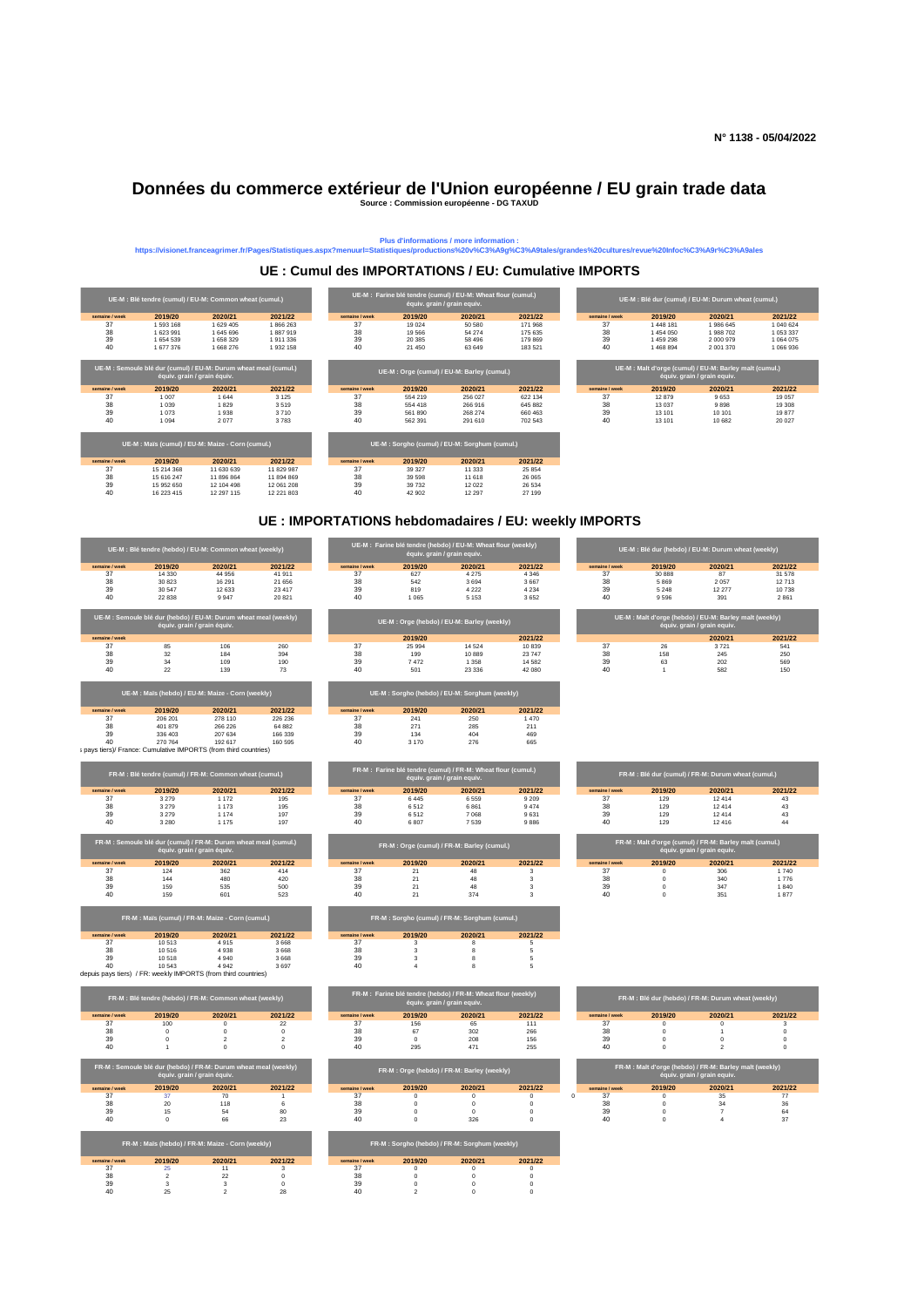# **Données du commerce extérieur de l'Union européenne / EU grain trade data Source : Commission européenne - DG TAXUD**



# Plus d'informations / more information :<br>https://visionet.franceagrimer.fr/Pages/Statistiques.aspx?menuurl=Statistiques/productions%20v%C3%A9g%C3%A9tales/grandes%20cultures/revue%20Infoc%C3%A9r%C3%A9ales

## **UE : Cumul des IMPORTATIONS / EU: Cumulative IMPORTS**

**UE : IMPORTATIONS hebdomadaires / EU: weekly IMPORTS**

|                | UE-M : Blé tendre (hebdo) / EU-M: Common wheat (weekly)          |                             |                                     |                |                                         | UE-M : Farine blé tendre (hebdo) / EU-M: Wheat flour (weekly)<br>équiv. grain / grain equiv. |                            |                     | UE-M : Blé dur (hebdo) / EU-M: Durum wheat (weekly)     |                             |                         |
|----------------|------------------------------------------------------------------|-----------------------------|-------------------------------------|----------------|-----------------------------------------|----------------------------------------------------------------------------------------------|----------------------------|---------------------|---------------------------------------------------------|-----------------------------|-------------------------|
| semaine / week | 2019/20                                                          | 2020/21                     | 2021/22                             | semaine / week | 2019/20                                 | 2020/21                                                                                      | 2021/22                    | semaine / week      | 2019/20                                                 | 2020/21                     | 2021/22                 |
| 37<br>38       | 14 3 30<br>30 823                                                | 44 956<br>16 291            | 41 911<br>21 656                    | 37<br>38       | 627<br>542                              | 4 2 7 5<br>3694                                                                              | 4 3 4 6<br>3 6 6 7         | 37<br>38            | 30 888<br>5869                                          | 87<br>2 0 5 7               | 31 578<br>12 713        |
| 39             | 30 547                                                           | 12 633                      | 23 417                              | 39             | 819                                     | 4 2 2 2                                                                                      | 4 2 3 4                    | 39                  | 5 2 4 8                                                 | 12 277                      | 10 738                  |
| 40             | 22 8 38                                                          | 9947                        | 20 821                              | 40             | 1.065                                   | 5 1 5 3                                                                                      | 3652                       | 40                  | 9596                                                    | 391                         | 2861                    |
|                | UE-M : Semoule blé dur (hebdo) / EU-M: Durum wheat meal (weekly) | équiv. grain / grain équiv. |                                     |                |                                         | UE-M : Orge (hebdo) / EU-M: Barley (weekly)                                                  |                            |                     | UE-M : Malt d'orge (hebdo) / EU-M: Barley malt (weekly) | équiv. grain / grain equiv. |                         |
| semaine / week |                                                                  |                             |                                     |                | 2019/20                                 |                                                                                              | 2021/22                    |                     |                                                         | 2020/21                     | 2021/22                 |
| 37<br>38       | 85<br>32                                                         | 106<br>184                  | 260<br>394                          | 37<br>38       | 25 994<br>199                           | 14 5 24<br>10889                                                                             | 10839<br>23 747            | 37<br>38            | 26<br>158                                               | 3721<br>245                 | 541<br>250              |
| 39             | 34                                                               | 109                         | 190                                 | 39             | 7472                                    | 1 3 5 8                                                                                      | 14 5 8 2                   | 39                  | 63                                                      | 202                         | 569                     |
| 40             | 22                                                               | 139                         | 73                                  | 40             | 501                                     | 23 3 3 6                                                                                     | 42 080                     | 40                  | $\overline{1}$                                          | 582                         | 150                     |
|                | UE-M : Maïs (hebdo) / EU-M: Maize - Corn (weekly)                |                             |                                     |                |                                         | UE-M : Sorgho (hebdo) / EU-M: Sorghum (weekly)                                               |                            |                     |                                                         |                             |                         |
| emaine / week  | 2019/20                                                          | 2020/21                     | 2021/22                             | semaine / week | 2019/20                                 | 2020/21                                                                                      | 2021/22                    |                     |                                                         |                             |                         |
| 37             | 206 201                                                          | 278 110                     | 226 236                             | 37             | 241                                     | 250                                                                                          | 1470                       |                     |                                                         |                             |                         |
| 38<br>39       | 401 879<br>336 403                                               | 266 226<br>207 634          | 64 882<br>166 339                   | 38<br>39       | 271<br>134                              | 285<br>404                                                                                   | 211<br>469                 |                     |                                                         |                             |                         |
| 40             | 270 764                                                          | 192 617                     | 160 595                             | 40             | 3 170                                   | 276                                                                                          | 665                        |                     |                                                         |                             |                         |
|                | i pays tiers)/ France: Cumulative IMPORTS (from third countries) |                             |                                     |                |                                         |                                                                                              |                            |                     |                                                         |                             |                         |
|                | FR-M : Blé tendre (cumul) / FR-M: Common wheat (cumul.)          |                             |                                     |                |                                         | FR-M : Farine blé tendre (cumul) / FR-M: Wheat flour (cumul.)<br>équiv. grain / grain equiv. |                            |                     | FR-M : Blé dur (cumul) / FR-M: Durum wheat (cumul.)     |                             |                         |
| semaine / week | 2019/20                                                          | 2020/21                     | 2021/22                             | semaine / week | 2019/20                                 | 2020/21                                                                                      | 2021/22                    | semaine / week      | 2019/20                                                 | 2020/21                     | 2021/22                 |
| 37<br>38       | 3279                                                             | 1 172                       | 195                                 | 37             | 6445                                    | 6559                                                                                         | 9 2 0 9                    | 37<br>38            | 129                                                     | 12414                       | 43                      |
| 39             | 3 2 7 9<br>3 2 7 9                                               | 1 1 7 3<br>1 1 7 4          | 195<br>197                          | 38<br>39       | 6512<br>6512                            | 6861<br>7068                                                                                 | 9474<br>9631               | 39                  | 129<br>129                                              | 12 4 14<br>12414            | 43<br>43                |
| 40             | 3 2 8 0                                                          | 1 1 7 5                     | 197                                 | 40             | 6807                                    | 7539                                                                                         | 9886                       | 40                  | 129                                                     | 12 4 16                     | 44                      |
|                | FR-M : Semoule blé dur (cumul) / FR-M: Durum wheat meal (cumul.) | équiv. grain / grain équiv. |                                     |                |                                         | FR-M : Orge (cumul) / FR-M: Barley (cumul.)                                                  |                            |                     | FR-M : Malt d'orge (cumul) / FR-M: Barley malt (cumul.) | équiv. grain / grain equiv. |                         |
| semaine / week | 2019/20                                                          | 2020/21                     | 2021/22                             | semaine / week | 2019/20                                 | 2020/21                                                                                      | 2021/22                    | semaine / week      | 2019/20                                                 | 2020/21                     | 2021/22                 |
| 37             | 124                                                              | 362                         | 414                                 | 37             | 21                                      | 48                                                                                           | 3                          | 37                  | $\circ$                                                 | 306                         | 1740                    |
| 38<br>39       | 144<br>159                                                       | 480<br>535                  | 420<br>500                          | 38<br>39       | 21<br>21                                | 48<br>48                                                                                     | 3<br>3                     | 38<br>39            | $\overline{0}$<br>$\mathbf 0$                           | 340<br>347                  | 1776<br>1840            |
| 40             | 159                                                              | 601                         | 523                                 | 40             | 21                                      | 374                                                                                          | 3                          | 40                  | $\circ$                                                 | 351                         | 1877                    |
|                | FR-M : Maïs (cumul) / FR-M: Maize - Corn (cumul.)                |                             |                                     |                |                                         | FR-M : Sorgho (cumul) / FR-M: Sorghum (cumul.)                                               |                            |                     |                                                         |                             |                         |
| semaine / week | 2019/20                                                          | 2020/21                     | 2021/22                             | semaine / week | 2019/20                                 | 2020/21                                                                                      | 2021/22                    |                     |                                                         |                             |                         |
| 37             | 10 513                                                           | 4915                        | 3 6 6 8                             | 37             | $\overline{\mathbf{3}}$                 | 8                                                                                            | $\,$ 5 $\,$                |                     |                                                         |                             |                         |
| 38<br>39       | 10.516<br>10 518                                                 | 4938<br>4 9 4 0             | 3 6 6 8<br>3668                     | 38<br>39       | $\mathbf{3}$<br>$\overline{\mathbf{3}}$ | $\mathbf{R}$<br>8                                                                            | $\overline{5}$<br>$\,$ 5   |                     |                                                         |                             |                         |
| 40             | 10.543                                                           | 4 9 4 2                     | 3697                                | 40             | $\overline{a}$                          | $\mathbf{R}$                                                                                 | 5                          |                     |                                                         |                             |                         |
|                | depuis pays tiers) / FR: weekly IMPORTS (from third countries)   |                             |                                     |                |                                         |                                                                                              |                            |                     |                                                         |                             |                         |
|                | FR-M : Blé tendre (hebdo) / FR-M: Common wheat (weekly)          |                             |                                     |                |                                         | FR-M : Farine blé tendre (hebdo) / FR-M: Wheat flour (weekly)<br>équiv. grain / grain equiv. |                            |                     | FR-M : Blé dur (hebdo) / FR-M: Durum wheat (weekly)     |                             |                         |
| semaine / week | 2019/20                                                          | 2020/21                     | 2021/22                             | semaine / week | 2019/20                                 | 2020/21                                                                                      | 2021/22                    | semaine / week      | 2019/20                                                 | 2020/21                     | 2021/22                 |
| 37             | 100                                                              | $^{\circ}$                  | 22                                  | 37             | 156                                     | 65                                                                                           | 111                        | 37                  | $\overline{0}$                                          | $\overline{0}$              | 3                       |
| 38<br>39       | $\Omega$<br>$\,0\,$                                              | $\Omega$<br>$\overline{2}$  | $\Omega$<br>$\overline{\mathbf{c}}$ | 38<br>39       | 67<br>$\,0\,$                           | 302<br>208                                                                                   | 266<br>156                 | 38<br>39            | $\Omega$<br>$\mathbf 0$                                 | $\overline{1}$<br>$\,0\,$   | $\Omega$<br>$\,$ 0 $\,$ |
| 40             | $\mathbf{1}$                                                     | $\mathbf 0$                 | $\mathbf 0$                         | 40             | 295                                     | 471                                                                                          | 255                        | 40                  | $\Omega$                                                | $\overline{2}$              | $\mathsf{o}\,$          |
|                | FR-M : Semoule blé dur (hebdo) / FR-M: Durum wheat meal (weekly) | équiv. grain / grain équiv. |                                     |                |                                         | FR-M : Orge (hebdo) / FR-M: Barley (weekly)                                                  |                            |                     | FR-M : Malt d'orge (hebdo) / FR-M: Barley malt (weekly) | équiv. grain / grain equiv. |                         |
| semaine / week | 2019/20                                                          | 2020/21                     | 2021/22                             | semaine / week | 2019/20                                 | 2020/21                                                                                      | 2021/22                    | semaine / week      | 2019/20                                                 | 2020/21                     | 2021/22                 |
| 37<br>38       | 37<br>20                                                         | 70<br>118                   | $\overline{1}$<br>$\,$ 6            | 37<br>38       | $\,0\,$<br>$\mathbf 0$                  | $\,0\,$<br>$\mathbb O$                                                                       | $\mathbf 0$<br>$\mathbf 0$ | 37<br>$\circ$<br>38 | $\,0\,$<br>$\mathbf 0$                                  | 35<br>34                    | 77<br>36                |
| 39             | 15                                                               | 54                          | 80                                  | 39             | $\mathbb O$                             | $\,$ 0                                                                                       | $\mathbf 0$                | 39                  | $\mathbf 0$                                             | $\overline{7}$              | 64                      |
| 40             | $\Omega$                                                         | 66                          | 23                                  | 40             | $\Omega$                                | 326                                                                                          | $\Omega$                   | 40                  | $\Omega$                                                | $\overline{4}$              | 37                      |
|                | FR-M : Maïs (hebdo) / FR-M: Maize - Corn (weekly)                |                             |                                     |                |                                         | FR-M : Sorgho (hebdo) / FR-M: Sorghum (weekly)                                               |                            |                     |                                                         |                             |                         |
| semaine / week | 2019/20                                                          | 2020/21                     | 2021/22                             | semaine / week | 2019/20                                 | 2020/21                                                                                      | 2021/22                    |                     |                                                         |                             |                         |
| 37<br>38       | 25<br>$\overline{2}$                                             | 11<br>22                    | 3<br>$\Omega$                       | 37<br>38       | $\circ$<br>$\Omega$                     | $\circ$<br>$\Omega$                                                                          | $\mathbf 0$<br>$\Omega$    |                     |                                                         |                             |                         |
| 39             | 3                                                                | $_{\rm 3}$                  | $\mathbf 0$                         | 39             | $\mathbb O$                             | $\,0\,$                                                                                      | $\mathbf 0$                |                     |                                                         |                             |                         |
| 40             | 25                                                               | $\overline{2}$              | 28                                  | 40             | $\overline{2}$                          | $\Omega$                                                                                     | $\Omega$                   |                     |                                                         |                             |                         |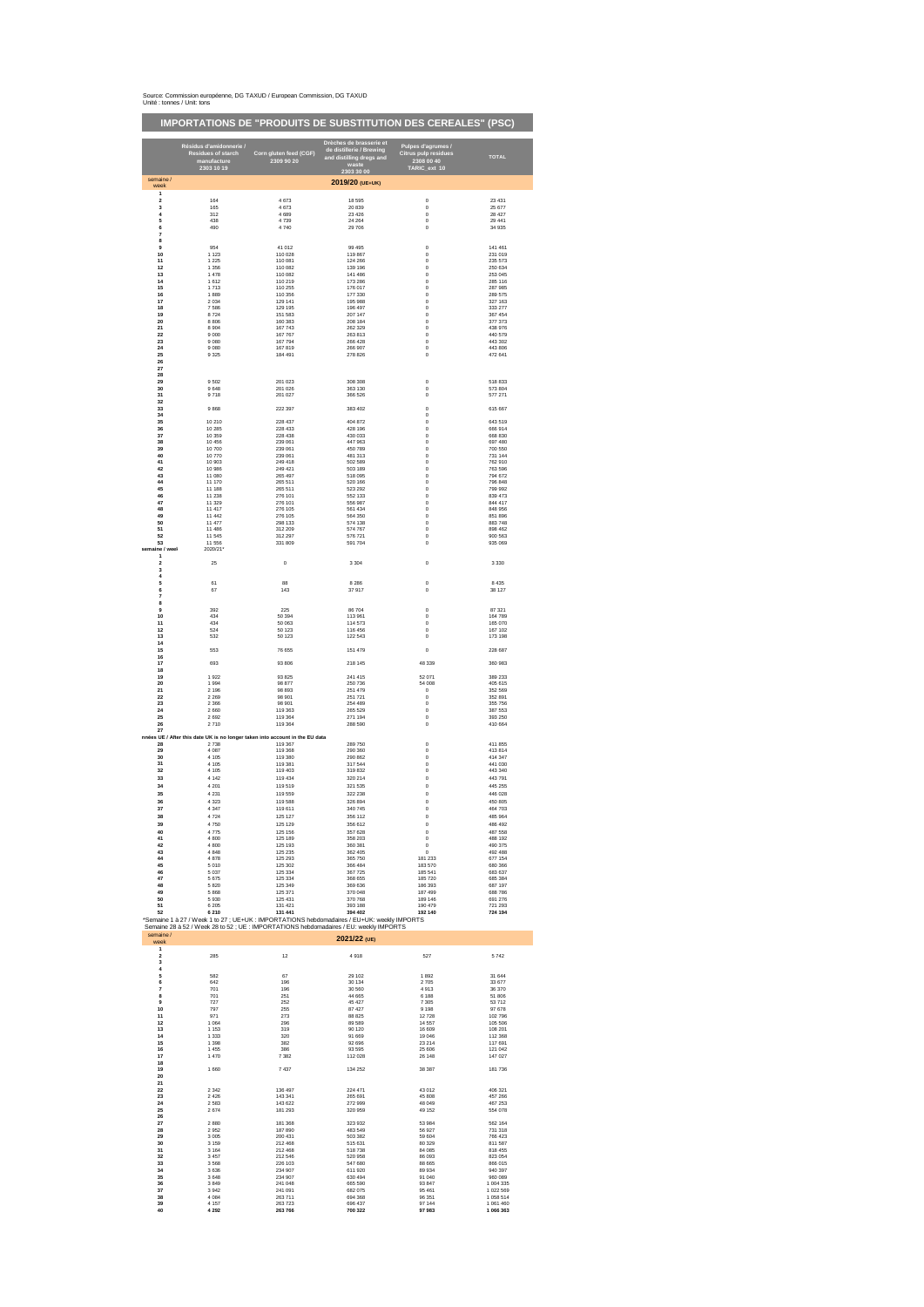|                             | Source: Commission européenne, DG TAXUD / European Commission, DG TAXUD |  |
|-----------------------------|-------------------------------------------------------------------------|--|
| Unité : tonnes / Unit: tons |                                                                         |  |

|                                           |                                                                                                            |                                      | <b>IMPORTATIONS DE "PRODUITS DE SUBSTITUTION DES CEREALES" (PSC)</b>                                                                                                                                  |                                                          |                               |
|-------------------------------------------|------------------------------------------------------------------------------------------------------------|--------------------------------------|-------------------------------------------------------------------------------------------------------------------------------------------------------------------------------------------------------|----------------------------------------------------------|-------------------------------|
|                                           | Résidus d'amidonnerie /                                                                                    |                                      | Drèches de brasserie et<br>de distillerie / Brewing                                                                                                                                                   | Pulpes d'agrumes /<br>Citrus pulp residues<br>2308 00 40 |                               |
|                                           | Residues of starch<br>manufacture<br>2303 10 19                                                            | Corn gluten feed (CGF)<br>2309 90 20 | and distilling dregs and<br>2303 30 00                                                                                                                                                                | TARIC_ext 10                                             | <b>TOTAL</b>                  |
| semaine /<br>week                         |                                                                                                            |                                      | 2019/20 (UE+UK)                                                                                                                                                                                       |                                                          |                               |
| 1<br>$\overline{\mathbf{c}}$<br>3         | 164<br>165                                                                                                 | 4 6 7 3<br>4 6 7 3                   | 18 595<br>20 839                                                                                                                                                                                      | $\bf 0$<br>$\bf 0$                                       | 23 431<br>25 677              |
| 4                                         | 312                                                                                                        | 4 6 8 9                              | 23 4 26                                                                                                                                                                                               | $\bf{0}$                                                 | 28 427                        |
| 5                                         | 438                                                                                                        | 4 7 3 9                              | 24 26 4                                                                                                                                                                                               | $\bf{0}$                                                 | 29 441                        |
| 6                                         | 490                                                                                                        | 4740                                 | 29 70 6                                                                                                                                                                                               | $\bf{0}$                                                 | 34 935                        |
| 7<br>8                                    |                                                                                                            |                                      |                                                                                                                                                                                                       |                                                          |                               |
| $\overline{9}$                            | 954                                                                                                        | 41 012                               | 99 495                                                                                                                                                                                                | $\circ$                                                  | 141 461                       |
| 10                                        | 1 1 2 3                                                                                                    | 110 028                              | 119 867                                                                                                                                                                                               | $^{\circ}$                                               | 231 019                       |
| 11                                        | 1 2 2 5                                                                                                    | 110 081                              | 124 266                                                                                                                                                                                               | $\mathbf 0$                                              | 235 573                       |
| 12                                        | 1 3 5 6                                                                                                    | 110 082                              | 139 196                                                                                                                                                                                               | $\bf 0$                                                  | 250 634                       |
| 13                                        | 1 478                                                                                                      | 110 082                              | 141 486                                                                                                                                                                                               | 0                                                        | 253 045                       |
| ${\bf 14}$                                | 1612                                                                                                       | 110 219                              | 173 286                                                                                                                                                                                               | 0                                                        | 285 116                       |
| 15                                        | 1713                                                                                                       | 110 255                              | 176 017                                                                                                                                                                                               | $\bf{0}$                                                 | 287 985                       |
| 16                                        | 1889                                                                                                       | 110 356                              | 177 330                                                                                                                                                                                               | $\bf{0}$                                                 | 289 575                       |
| 17                                        | 2 0 3 4                                                                                                    | 129 141                              | 195 988                                                                                                                                                                                               | $^{\circ}$                                               | 327 163                       |
| 18                                        | 7586                                                                                                       | 129 195                              | 196 497                                                                                                                                                                                               | $\mathbf{0}$                                             | 333 277                       |
| 19                                        | 8724                                                                                                       | 151 583                              | 207 147                                                                                                                                                                                               | $\mathbf 0$                                              | 367 454                       |
| 20                                        | 8 8 0 6                                                                                                    | 160 383                              | 208 184                                                                                                                                                                                               | $\mathbf 0$                                              | 377 373                       |
| 21                                        | 8904                                                                                                       | 167 743                              | 262 329                                                                                                                                                                                               | 0                                                        | 438 976                       |
| 22                                        | 9000                                                                                                       | 167 767                              | 263 813                                                                                                                                                                                               | 0                                                        | 440 579                       |
| 23                                        | 9 0 8 0                                                                                                    | 167 794                              | 266 428                                                                                                                                                                                               | $\bf 0$                                                  | 443 302                       |
| 24<br>25<br>26                            | 9 0 8 0<br>9 3 2 5                                                                                         | 167 819<br>184 491                   | 266 907<br>278 826                                                                                                                                                                                    | $\pmb{0}$<br>$^{\circ}$                                  | 443 806<br>472 641            |
| 27<br>28                                  |                                                                                                            |                                      |                                                                                                                                                                                                       |                                                          |                               |
| 29                                        | 9502                                                                                                       | 201 023                              | 308 308                                                                                                                                                                                               | $\bf 0$                                                  | 518 833                       |
| 30                                        | 9 6 4 8                                                                                                    | 201 026                              | 363 130                                                                                                                                                                                               | 0                                                        | 573 804                       |
| 31                                        | 9718                                                                                                       | 201 027                              | 366 526                                                                                                                                                                                               | $\bf{0}$                                                 | 577 271                       |
| 32<br>33<br>34                            | 9868                                                                                                       | 222 397                              | 383 402                                                                                                                                                                                               | $\bf{0}$<br>$^{\circ}$                                   | 615 667                       |
| 35                                        | 10 210                                                                                                     | 228 437                              | 404 872                                                                                                                                                                                               | $^{\circ}$                                               | 643,519                       |
| 36                                        | 10 285                                                                                                     | 228 433                              | 428 196                                                                                                                                                                                               | $\mathbf 0$                                              | 666 914                       |
| 37                                        | 10 359                                                                                                     | 228 438                              | 430 033                                                                                                                                                                                               | $\bf 0$                                                  | 668 830                       |
| 38                                        | 10 45 6                                                                                                    | 239 061                              | 447 963                                                                                                                                                                                               | 0                                                        | 697 480                       |
| 39                                        | 10700                                                                                                      | 239 061                              | 450 789                                                                                                                                                                                               | 0                                                        | 700 550                       |
| 40                                        | 10770                                                                                                      | 239 061                              | 481 313                                                                                                                                                                                               | $\bf{0}$                                                 | 731 144                       |
| 41                                        | 10 903                                                                                                     | 249 418                              | 502 589                                                                                                                                                                                               | $\bf{0}$                                                 | 762 910                       |
| 42                                        | 10 986                                                                                                     | 249 421                              | 503 189                                                                                                                                                                                               | $^{\circ}$                                               | 763,596                       |
| 43                                        | 11 080                                                                                                     | 265 497                              | 518.095                                                                                                                                                                                               | $^{\circ}$                                               | 794 672                       |
| 44                                        | 11 170                                                                                                     | 265 511                              | 520 166                                                                                                                                                                                               | $\bf 0$                                                  | 796 848                       |
| 45                                        | 11 188                                                                                                     | 265 511                              | 523 292                                                                                                                                                                                               | $\mathbf 0$                                              | 799 992                       |
| 46                                        | 11 238                                                                                                     | 276 101                              | 552 133                                                                                                                                                                                               | $\mathbf 0$                                              | 839 473                       |
| 47<br>48<br>49                            | 11 329<br>11 417<br>11 442                                                                                 | 276 101<br>276 105<br>276 105        | 556 987<br>561 434<br>564 350                                                                                                                                                                         | 0<br>0                                                   | 844 417<br>848 956<br>851 896 |
| 50<br>51                                  | 11 477<br>11 48 6                                                                                          | 298 133<br>312 209                   | 574 138<br>574 767                                                                                                                                                                                    | $\bf{0}$<br>$\bf 0$<br>$^{\circ}$                        | 883 748<br>898 462            |
| 52<br>53<br>semaine / weel                | 11 545<br>11 556<br>2020/21                                                                                | 312 297<br>331 809                   | 576 721<br>591 704                                                                                                                                                                                    | $^{\circ}$<br>$\bf 0$                                    | 900 563<br>935 069            |
| $\mathbf{1}$<br>2<br>3                    | 25                                                                                                         | $\bf{0}$                             | 3 3 0 4                                                                                                                                                                                               | $\bf{0}$                                                 | 3 3 3 0                       |
| 4<br>5<br>6<br>7<br>8                     | 61<br>67                                                                                                   | 88<br>143                            | 8 2 8 6<br>37917                                                                                                                                                                                      | $^{\circ}$<br>$^{\circ}$                                 | 8 4 3 5<br>38 127             |
| 9                                         | 392                                                                                                        | 225                                  | 86 704                                                                                                                                                                                                | $\bf{0}$                                                 | 87 321                        |
| 10                                        | 434                                                                                                        | 50 394                               | 113 961                                                                                                                                                                                               | 0                                                        | 164 789                       |
| 11                                        | 434                                                                                                        | 50 063                               | 114 573                                                                                                                                                                                               | $\bf 0$                                                  | 165 070                       |
| 12                                        | 524                                                                                                        | 50 123                               | 116 456                                                                                                                                                                                               | $\bf 0$                                                  | 167 102                       |
| 13                                        | 532                                                                                                        | 50 123                               | 122 543                                                                                                                                                                                               | $\bf{0}$                                                 | 173 198                       |
| 14<br>15<br>16                            | 553                                                                                                        | 76 655                               | 151 479                                                                                                                                                                                               | $\mathbf{0}$                                             | 228 687                       |
| $17\,$<br>18                              | 693                                                                                                        | 93 806                               | 218 145                                                                                                                                                                                               | 48 339                                                   | 360 983                       |
| 19<br>20                                  | 1922<br>1994<br>2 1 9 6                                                                                    | 93 825<br>98 877<br>98 893           | 241 415<br>250 736<br>251 479                                                                                                                                                                         | 52 071<br>54 008<br>$\circ$                              | 389 233<br>405 615<br>352 569 |
| 21<br>22<br>23                            | 2 2 6 9<br>2 3 6 6                                                                                         | 98 901<br>98 901                     | 251 721<br>254 489                                                                                                                                                                                    | $^{\circ}$<br>$^{\circ}$                                 | 352 891<br>355 756            |
| ${\bf 24}$<br>25<br>26<br>27              | 2 6 6 0<br>2 6 9 2<br>2710                                                                                 | 119 363<br>119 364<br>119 364        | 265 529<br>271 194<br>288 590                                                                                                                                                                         | $\mathbf 0$<br>$\mathbf 0$<br>$\bf{0}$                   | 387 553<br>393 250<br>410 664 |
| 28<br>29<br>30                            | nnées UE / After this date UK is no longer taken into account in the EU data<br>2738<br>4 0 8 7<br>4 1 0 5 | 119 367<br>119 368<br>119 380        | 289 750<br>290.360<br>290.862                                                                                                                                                                         | $\pmb{0}$<br>$^{\circ}$<br>$^{\circ}$                    | 411 855<br>413 814<br>414 347 |
| 31                                        | 4 1 0 5                                                                                                    | 119 381                              | 317 544                                                                                                                                                                                               | $^{\circ}$                                               | 441 030                       |
| 32                                        | 4 1 0 5                                                                                                    | 119 403                              | 319 832                                                                                                                                                                                               | $\bf 0$                                                  | 443 340                       |
| 33                                        | 4 1 4 2                                                                                                    | 119 434                              | 320 214                                                                                                                                                                                               | $\circ$                                                  | 443 791                       |
| 34                                        | 4 2 0 1                                                                                                    | 119 519                              | 321 535                                                                                                                                                                                               | $\pmb{0}$                                                | 445 255                       |
| 35<br>36                                  | 4 2 3 1<br>4 3 2 3                                                                                         | 119 559<br>119 588<br>1108           | 322 238<br>326 894                                                                                                                                                                                    | $\mathbf 0$<br>$\mathbf{0}$                              | 446 028<br>450 805            |
| 38                                        | 4724                                                                                                       | 125 127                              | 356 112                                                                                                                                                                                               | 0                                                        | 485 964                       |
| 39                                        | 4750                                                                                                       | 125 129                              | 356 612                                                                                                                                                                                               | $\mathbf 0$                                              | 486 492                       |
| 40                                        | 4775                                                                                                       | 125 156                              | 357 628                                                                                                                                                                                               | $\circ$                                                  | 487 558                       |
| 41                                        | 4800                                                                                                       | 125 189                              | 358 203                                                                                                                                                                                               | $^{\circ}$                                               | 488 192                       |
| 42                                        | 4800                                                                                                       | 125 193                              | 360 381                                                                                                                                                                                               | $\bf 0$                                                  | 490 375                       |
| 43                                        | 4848                                                                                                       | 125 235                              | 362 405                                                                                                                                                                                               | $\mathbf 0$                                              | 492 488                       |
| 44                                        | 4878                                                                                                       | 125 293                              | 365 750                                                                                                                                                                                               | 181 233                                                  | 677 154                       |
| 45                                        | 5010                                                                                                       | 125 302                              | 366 484                                                                                                                                                                                               | 183 570                                                  | 680 366                       |
| 46                                        | 5 0 3 7                                                                                                    | 125 334                              | 367 725                                                                                                                                                                                               | 185 541                                                  | 683 637                       |
| 47                                        | 5675                                                                                                       | 125 334                              | 368 655                                                                                                                                                                                               | 185 720                                                  | 685 384                       |
| 48                                        | 5 8 20                                                                                                     | 125 349                              | 369 636                                                                                                                                                                                               | 186 393                                                  | 687 197                       |
| 49                                        | 5 8 6 8                                                                                                    | 125 371                              | 370 048                                                                                                                                                                                               | 187 499                                                  | 688 786                       |
| 50                                        | 5930                                                                                                       | 125 431                              | 370 768                                                                                                                                                                                               | 189 146                                                  | 691 276                       |
| 51                                        | 6 2 0 5                                                                                                    | 131 421                              | 393 188                                                                                                                                                                                               | 190 479                                                  | 721 293                       |
| 52                                        | 6 2 1 0                                                                                                    | 131 441                              | 394 402                                                                                                                                                                                               | 192 140                                                  | 724 194                       |
| semaine /                                 |                                                                                                            |                                      | *Semaine 1 à 27 / Week 1 to 27 ; UE+UK : IMPORTATIONS hebdomadaires / EU+UK: weekly IMPORTS<br>Semaine 28 à 52 / Week 28 to 52 ; UE : IMPORTATIONS hebdomadaires / EU: weekly IMPORTS<br>2021/22 (UE) |                                                          |                               |
| week<br>1<br>2<br>$\overline{\mathbf{3}}$ | 285                                                                                                        | 12                                   | 4918                                                                                                                                                                                                  | 527                                                      | 5742                          |
| $\ddot{a}$<br>5<br>6                      | 582<br>642                                                                                                 | 67<br>196                            | 29 10 2<br>30 134                                                                                                                                                                                     | 1892<br>2705                                             | 31 644<br>33 677              |
| 7                                         | 701                                                                                                        | 196                                  | 30 560                                                                                                                                                                                                | 4913                                                     | 36 370                        |
| 8                                         | 701                                                                                                        | 251                                  | 44 665                                                                                                                                                                                                | 6 188                                                    | 51 806                        |
| 9                                         | 727                                                                                                        | 252                                  | 45 427                                                                                                                                                                                                | 7 3 0 5                                                  | 53 712                        |
| 10                                        | 797                                                                                                        | 255                                  | 87 427                                                                                                                                                                                                | 9 1 9 8                                                  | 97 678                        |
| 11                                        | 971                                                                                                        | 273                                  | 88 825                                                                                                                                                                                                | 12728                                                    | 102 796                       |
| 12                                        | 1064                                                                                                       | 296                                  | 89 589                                                                                                                                                                                                | 14 5 57                                                  | 105 506                       |
| 13                                        | 1 1 5 3                                                                                                    | 319                                  | 90 120                                                                                                                                                                                                | 16 609                                                   | 108 201                       |
| 14                                        | 1 3 3 3                                                                                                    | 320                                  | 91 669                                                                                                                                                                                                | 19 046                                                   | 112 368                       |
| 15                                        | 1 3 9 8                                                                                                    | 382                                  | 92 696                                                                                                                                                                                                | 23 214                                                   | 117 691                       |
| 16                                        | 1 455                                                                                                      | 386                                  | 93 595                                                                                                                                                                                                | 25 606                                                   | 121 042                       |
| $\bf 17$<br>18<br>19                      | 1 470<br>1 6 6 0                                                                                           | 7 3 8 2<br>7 4 3 7                   | 112 028<br>134 252                                                                                                                                                                                    | 26 148<br>38 387                                         | 147 027<br>181 736            |
| 20<br>21                                  |                                                                                                            |                                      |                                                                                                                                                                                                       |                                                          |                               |
| 22                                        | 2 3 4 2                                                                                                    | 136 497                              | 224 471                                                                                                                                                                                               | 43 012                                                   | 406 321                       |
| 23                                        | 2 4 2 6                                                                                                    | 143 341                              | 265 691                                                                                                                                                                                               | 45 808                                                   | 457 266                       |
| ${\bf 24}$                                | 2 5 8 3                                                                                                    | 143 622                              | 272 999                                                                                                                                                                                               | 48 049                                                   | 467 253                       |
| 25<br>26                                  | 2674                                                                                                       | 181 293                              | 320 959                                                                                                                                                                                               | 49 152                                                   | 554 078                       |
| 27                                        | 2880                                                                                                       | 181 368                              | 323 932                                                                                                                                                                                               | 53 984                                                   | 562 164                       |
| 28                                        | 2952                                                                                                       | 187 890                              | 483 549                                                                                                                                                                                               | 56 927                                                   | 731 318                       |
| 29                                        | 3 0 0 5                                                                                                    | 200 431                              | 503 382                                                                                                                                                                                               | 59 604                                                   | 766 423                       |
| 30                                        | 3 1 5 9                                                                                                    | 212 468                              | 515 631                                                                                                                                                                                               | 80 329                                                   | 811 587                       |
| 31                                        | 3 1 6 4                                                                                                    | 212 468                              | 518 738                                                                                                                                                                                               | 84 085                                                   | 818 455                       |
| 32                                        | 3 4 5 7                                                                                                    | 212 546                              | 520 958                                                                                                                                                                                               | 86 093                                                   | 823 054                       |
| 33                                        | 3 5 6 8                                                                                                    | 226 103                              | 547 680                                                                                                                                                                                               | 88 665                                                   | 866 015                       |
| 34                                        | 3 6 3 6                                                                                                    | 234 907                              | 611 920                                                                                                                                                                                               | 89 934                                                   | 940 397                       |
| 35                                        | 3 6 4 8                                                                                                    | 234 907                              | 630 494                                                                                                                                                                                               | 91 040                                                   | 960 089                       |
| 36                                        | 3 8 4 9                                                                                                    | 241 048                              | 665 590                                                                                                                                                                                               | 93 847                                                   | 1 004 335                     |
| 37                                        | 3942                                                                                                       | 241 091                              | 682 075                                                                                                                                                                                               | 95 461                                                   | 1 022 569                     |
| 38                                        | 4 0 8 4                                                                                                    | 263 711                              | 694 368                                                                                                                                                                                               | 96 351                                                   | 1 058 514                     |
| 39                                        | 4 1 5 7                                                                                                    | 263 723                              | 696 437                                                                                                                                                                                               | 97 144                                                   | 1 061 460                     |
| 40                                        | 4 2 9 2                                                                                                    | 263 766                              | 700 322                                                                                                                                                                                               | 97983                                                    | 1 066 363                     |
|                                           |                                                                                                            |                                      |                                                                                                                                                                                                       |                                                          |                               |